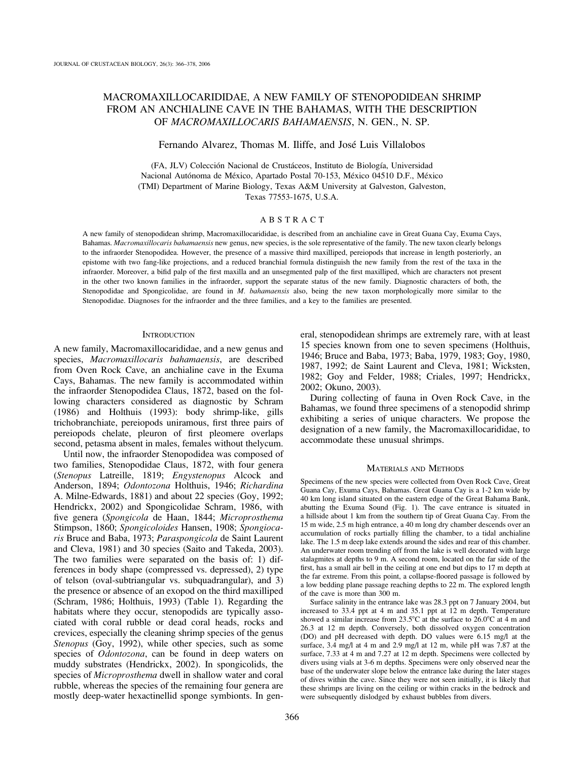# MACROMAXILLOCARIDIDAE, A NEW FAMILY OF STENOPODIDEAN SHRIMP FROM AN ANCHIALINE CAVE IN THE BAHAMAS, WITH THE DESCRIPTION OF MACROMAXILLOCARIS BAHAMAENSIS, N. GEN., N. SP.

## Fernando Alvarez, Thomas M. Iliffe, and José Luis Villalobos

(FA, JLV) Colección Nacional de Crustáceos, Instituto de Biología, Universidad Nacional Autónoma de México, Apartado Postal 70-153, México 04510 D.F., México (TMI) Department of Marine Biology, Texas A&M University at Galveston, Galveston, Texas 77553-1675, U.S.A.

## ABSTRACT

A new family of stenopodidean shrimp, Macromaxillocarididae, is described from an anchialine cave in Great Guana Cay, Exuma Cays, Bahamas. Macromaxillocaris bahamaensis new genus, new species, is the sole representative of the family. The new taxon clearly belongs to the infraorder Stenopodidea. However, the presence of a massive third maxilliped, pereiopods that increase in length posteriorly, an epistome with two fang-like projections, and a reduced branchial formula distinguish the new family from the rest of the taxa in the infraorder. Moreover, a bifid palp of the first maxilla and an unsegmented palp of the first maxilliped, which are characters not present in the other two known families in the infraorder, support the separate status of the new family. Diagnostic characters of both, the Stenopodidae and Spongicolidae, are found in M. bahamaensis also, being the new taxon morphologically more similar to the Stenopodidae. Diagnoses for the infraorder and the three families, and a key to the families are presented.

### **INTRODUCTION**

A new family, Macromaxillocarididae, and a new genus and species, Macromaxillocaris bahamaensis, are described from Oven Rock Cave, an anchialine cave in the Exuma Cays, Bahamas. The new family is accommodated within the infraorder Stenopodidea Claus, 1872, based on the following characters considered as diagnostic by Schram (1986) and Holthuis (1993): body shrimp-like, gills trichobranchiate, pereiopods uniramous, first three pairs of pereiopods chelate, pleuron of first pleomere overlaps second, petasma absent in males, females without thelycum.

Until now, the infraorder Stenopodidea was composed of two families, Stenopodidae Claus, 1872, with four genera (Stenopus Latreille, 1819; Engystenopus Alcock and Anderson, 1894; Odontozona Holthuis, 1946; Richardina A. Milne-Edwards, 1881) and about 22 species (Goy, 1992; Hendrickx, 2002) and Spongicolidae Schram, 1986, with five genera (Spongicola de Haan, 1844; Microprosthema Stimpson, 1860; Spongicoloides Hansen, 1908; Spongiocaris Bruce and Baba, 1973; Paraspongicola de Saint Laurent and Cleva, 1981) and 30 species (Saito and Takeda, 2003). The two families were separated on the basis of: 1) differences in body shape (compressed vs. depressed), 2) type of telson (oval-subtriangular vs. subquadrangular), and 3) the presence or absence of an exopod on the third maxilliped (Schram, 1986; Holthuis, 1993) (Table 1). Regarding the habitats where they occur, stenopodids are typically associated with coral rubble or dead coral heads, rocks and crevices, especially the cleaning shrimp species of the genus Stenopus (Goy, 1992), while other species, such as some species of *Odontozona*, can be found in deep waters on muddy substrates (Hendrickx, 2002). In spongicolids, the species of Microprosthema dwell in shallow water and coral rubble, whereas the species of the remaining four genera are mostly deep-water hexactinellid sponge symbionts. In general, stenopodidean shrimps are extremely rare, with at least 15 species known from one to seven specimens (Holthuis, 1946; Bruce and Baba, 1973; Baba, 1979, 1983; Goy, 1980, 1987, 1992; de Saint Laurent and Cleva, 1981; Wicksten, 1982; Goy and Felder, 1988; Criales, 1997; Hendrickx, 2002; Okuno, 2003).

During collecting of fauna in Oven Rock Cave, in the Bahamas, we found three specimens of a stenopodid shrimp exhibiting a series of unique characters. We propose the designation of a new family, the Macromaxillocarididae, to accommodate these unusual shrimps.

### MATERIALS AND METHODS

Specimens of the new species were collected from Oven Rock Cave, Great Guana Cay, Exuma Cays, Bahamas. Great Guana Cay is a 1-2 km wide by 40 km long island situated on the eastern edge of the Great Bahama Bank, abutting the Exuma Sound (Fig. 1). The cave entrance is situated in a hillside about 1 km from the southern tip of Great Guana Cay. From the 15 m wide, 2.5 m high entrance, a 40 m long dry chamber descends over an accumulation of rocks partially filling the chamber, to a tidal anchialine lake. The 1.5 m deep lake extends around the sides and rear of this chamber. An underwater room trending off from the lake is well decorated with large stalagmites at depths to 9 m. A second room, located on the far side of the first, has a small air bell in the ceiling at one end but dips to 17 m depth at the far extreme. From this point, a collapse-floored passage is followed by a low bedding plane passage reaching depths to 22 m. The explored length of the cave is more than 300 m.

Surface salinity in the entrance lake was 28.3 ppt on 7 January 2004, but increased to 33.4 ppt at 4 m and 35.1 ppt at 12 m depth. Temperature showed a similar increase from  $23.5^{\circ}$ C at the surface to  $26.0^{\circ}$ C at 4 m and 26.3 at 12 m depth. Conversely, both dissolved oxygen concentration (DO) and pH decreased with depth. DO values were 6.15 mg/l at the surface, 3.4 mg/l at 4 m and 2.9 mg/l at 12 m, while pH was 7.87 at the surface, 7.33 at 4 m and 7.27 at 12 m depth. Specimens were collected by divers using vials at 3-6 m depths. Specimens were only observed near the base of the underwater slope below the entrance lake during the later stages of dives within the cave. Since they were not seen initially, it is likely that these shrimps are living on the ceiling or within cracks in the bedrock and were subsequently dislodged by exhaust bubbles from divers.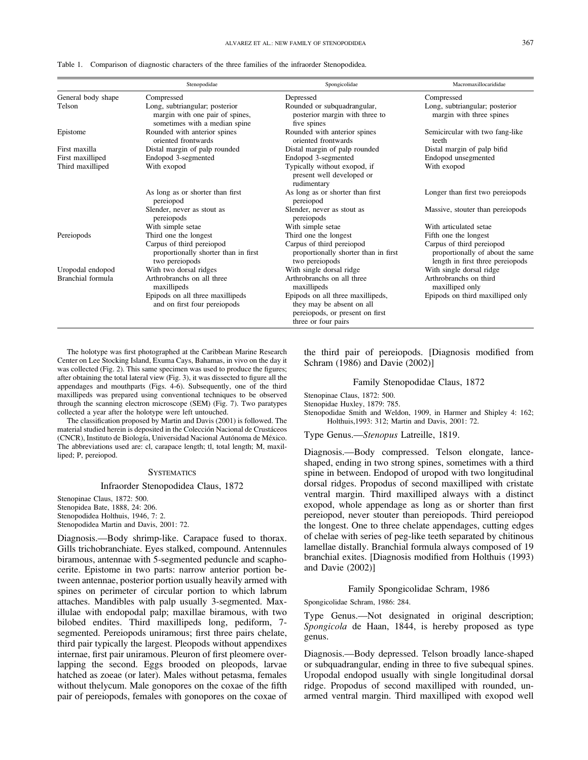|                    | Stenopodidae                                                                                       | Spongicolidae                                                                                                            | Macromaxillocarididae                                                                             |  |  |
|--------------------|----------------------------------------------------------------------------------------------------|--------------------------------------------------------------------------------------------------------------------------|---------------------------------------------------------------------------------------------------|--|--|
| General body shape | Compressed                                                                                         | Depressed                                                                                                                | Compressed<br>Long, subtriangular; posterior<br>margin with three spines                          |  |  |
| Telson             | Long, subtriangular; posterior<br>margin with one pair of spines,<br>sometimes with a median spine | Rounded or subquadrangular,<br>posterior margin with three to<br>five spines                                             |                                                                                                   |  |  |
| Epistome           | Rounded with anterior spines<br>oriented frontwards                                                | Rounded with anterior spines<br>oriented frontwards                                                                      | Semicircular with two fang-like<br>teeth                                                          |  |  |
| First maxilla      | Distal margin of palp rounded                                                                      | Distal margin of palp rounded                                                                                            | Distal margin of palp bifid                                                                       |  |  |
| First maxilliped   | Endopod 3-segmented                                                                                | Endopod 3-segmented                                                                                                      | Endopod unsegmented                                                                               |  |  |
| Third maxilliped   | With exopod                                                                                        | Typically without exopod, if<br>present well developed or<br>rudimentary                                                 | With exopod                                                                                       |  |  |
|                    | As long as or shorter than first<br>pereiopod                                                      | As long as or shorter than first<br>pereiopod                                                                            | Longer than first two pereiopods                                                                  |  |  |
|                    | Slender, never as stout as<br>pereiopods                                                           | Slender, never as stout as<br>pereiopods                                                                                 | Massive, stouter than pereiopods                                                                  |  |  |
|                    | With simple setae                                                                                  | With simple setae                                                                                                        | With articulated setae                                                                            |  |  |
| Pereiopods         | Third one the longest                                                                              | Third one the longest                                                                                                    | Fifth one the longest                                                                             |  |  |
|                    | Carpus of third pereiopod<br>proportionally shorter than in first<br>two pereiopods                | Carpus of third pereiopod<br>proportionally shorter than in first<br>two pereiopods                                      | Carpus of third pereiopod<br>proportionally of about the same<br>length in first three pereiopods |  |  |
| Uropodal endopod   | With two dorsal ridges                                                                             | With single dorsal ridge                                                                                                 | With single dorsal ridge                                                                          |  |  |
| Branchial formula  | Arthrobranchs on all three<br>maxillipeds                                                          | Arthrobranchs on all three<br>maxillipeds                                                                                | Arthrobranchs on third<br>maxilliped only                                                         |  |  |
|                    | Epipods on all three maxillipeds<br>and on first four pereiopods                                   | Epipods on all three maxillipeds,<br>they may be absent on all<br>pereiopods, or present on first<br>three or four pairs | Epipods on third maxilliped only                                                                  |  |  |

Table 1. Comparison of diagnostic characters of the three families of the infraorder Stenopodidea.

The holotype was first photographed at the Caribbean Marine Research Center on Lee Stocking Island, Exuma Cays, Bahamas, in vivo on the day it was collected (Fig. 2). This same specimen was used to produce the figures; after obtaining the total lateral view (Fig. 3), it was dissected to figure all the appendages and mouthparts (Figs. 4-6). Subsequently, one of the third maxillipeds was prepared using conventional techniques to be observed through the scanning electron microscope (SEM) (Fig. 7). Two paratypes collected a year after the holotype were left untouched.

The classification proposed by Martin and Davis (2001) is followed. The material studied herein is deposited in the Colección Nacional de Crustáceos (CNCR), Instituto de Biología, Universidad Nacional Autónoma de México. The abbreviations used are: cl, carapace length; tl, total length; M, maxilliped; P, pereiopod.

#### **SYSTEMATICS**

### Infraorder Stenopodidea Claus, 1872

Stenopinae Claus, 1872: 500. Stenopidea Bate, 1888, 24: 206. Stenopodidea Holthuis, 1946, 7: 2. Stenopodidea Martin and Davis, 2001: 72.

Diagnosis.—Body shrimp-like. Carapace fused to thorax. Gills trichobranchiate. Eyes stalked, compound. Antennules biramous, antennae with 5-segmented peduncle and scaphocerite. Epistome in two parts: narrow anterior portion between antennae, posterior portion usually heavily armed with spines on perimeter of circular portion to which labrum attaches. Mandibles with palp usually 3-segmented. Maxillulae with endopodal palp; maxillae biramous, with two bilobed endites. Third maxillipeds long, pediform, 7 segmented. Pereiopods uniramous; first three pairs chelate, third pair typically the largest. Pleopods without appendixes internae, first pair uniramous. Pleuron of first pleomere overlapping the second. Eggs brooded on pleopods, larvae hatched as zoeae (or later). Males without petasma, females without thelycum. Male gonopores on the coxae of the fifth pair of pereiopods, females with gonopores on the coxae of the third pair of pereiopods. [Diagnosis modified from Schram (1986) and Davie (2002)]

### Family Stenopodidae Claus, 1872

Stenopinae Claus, 1872: 500.

Stenopidae Huxley, 1879: 785.

Stenopodidae Smith and Weldon, 1909, in Harmer and Shipley 4: 162; Holthuis,1993: 312; Martin and Davis, 2001: 72.

Type Genus.—Stenopus Latreille, 1819.

Diagnosis.—Body compressed. Telson elongate, lanceshaped, ending in two strong spines, sometimes with a third spine in between. Endopod of uropod with two longitudinal dorsal ridges. Propodus of second maxilliped with cristate ventral margin. Third maxilliped always with a distinct exopod, whole appendage as long as or shorter than first pereiopod, never stouter than pereiopods. Third pereiopod the longest. One to three chelate appendages, cutting edges of chelae with series of peg-like teeth separated by chitinous lamellae distally. Branchial formula always composed of 19 branchial exites. [Diagnosis modified from Holthuis (1993) and Davie (2002)]

Family Spongicolidae Schram, 1986

Spongicolidae Schram, 1986: 284.

Type Genus.—Not designated in original description; Spongicola de Haan, 1844, is hereby proposed as type genus.

Diagnosis.—Body depressed. Telson broadly lance-shaped or subquadrangular, ending in three to five subequal spines. Uropodal endopod usually with single longitudinal dorsal ridge. Propodus of second maxilliped with rounded, unarmed ventral margin. Third maxilliped with exopod well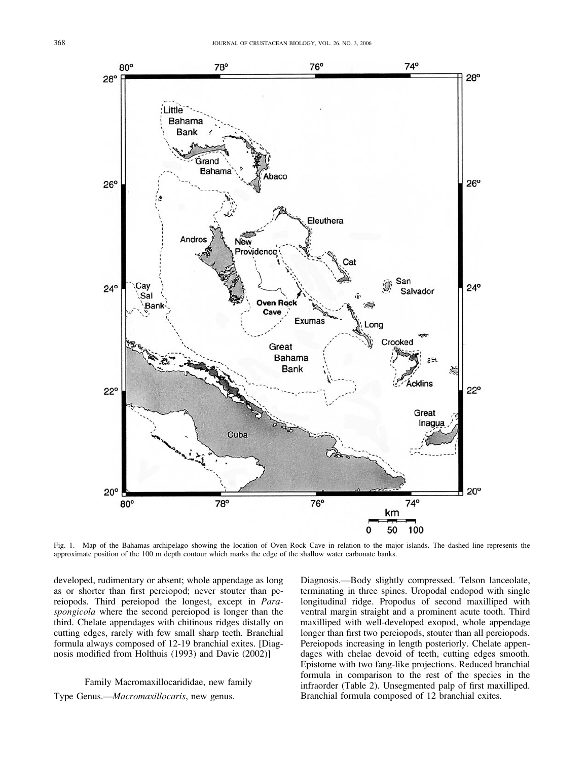

Fig. 1. Map of the Bahamas archipelago showing the location of Oven Rock Cave in relation to the major islands. The dashed line represents the approximate position of the 100 m depth contour which marks the edge of the shallow water carbonate banks.

developed, rudimentary or absent; whole appendage as long as or shorter than first pereiopod; never stouter than pereiopods. Third pereiopod the longest, except in Paraspongicola where the second pereiopod is longer than the third. Chelate appendages with chitinous ridges distally on cutting edges, rarely with few small sharp teeth. Branchial formula always composed of 12-19 branchial exites. [Diagnosis modified from Holthuis (1993) and Davie (2002)]

# Family Macromaxillocarididae, new family Type Genus.—Macromaxillocaris, new genus.

Diagnosis.—Body slightly compressed. Telson lanceolate, terminating in three spines. Uropodal endopod with single longitudinal ridge. Propodus of second maxilliped with ventral margin straight and a prominent acute tooth. Third maxilliped with well-developed exopod, whole appendage longer than first two pereiopods, stouter than all pereiopods. Pereiopods increasing in length posteriorly. Chelate appendages with chelae devoid of teeth, cutting edges smooth. Epistome with two fang-like projections. Reduced branchial formula in comparison to the rest of the species in the infraorder (Table 2). Unsegmented palp of first maxilliped. Branchial formula composed of 12 branchial exites.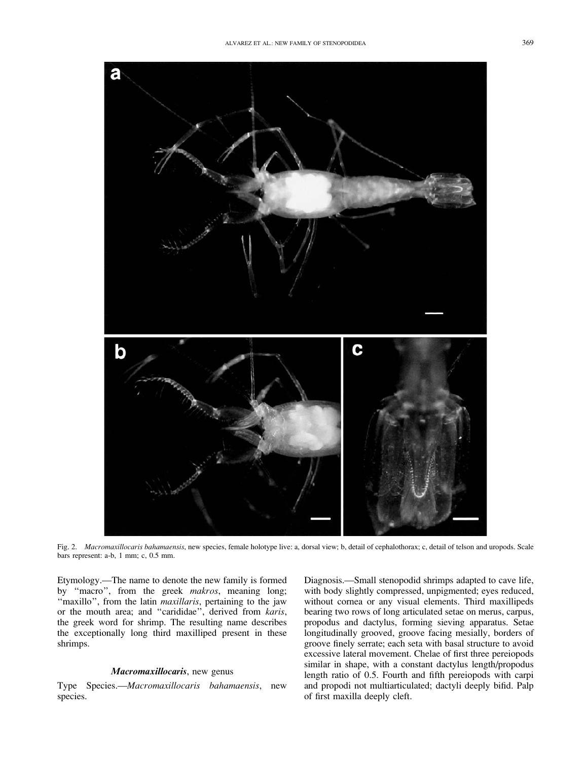

Fig. 2. Macromaxillocaris bahamaensis, new species, female holotype live: a, dorsal view; b, detail of cephalothorax; c, detail of telson and uropods. Scale bars represent: a-b, 1 mm; c, 0.5 mm.

Etymology.—The name to denote the new family is formed by "macro", from the greek makros, meaning long; "maxillo", from the latin *maxillaris*, pertaining to the jaw or the mouth area; and ''carididae'', derived from karis, the greek word for shrimp. The resulting name describes the exceptionally long third maxilliped present in these shrimps.

## Macromaxillocaris, new genus

Type Species.—Macromaxillocaris bahamaensis, new species.

Diagnosis.—Small stenopodid shrimps adapted to cave life, with body slightly compressed, unpigmented; eyes reduced, without cornea or any visual elements. Third maxillipeds bearing two rows of long articulated setae on merus, carpus, propodus and dactylus, forming sieving apparatus. Setae longitudinally grooved, groove facing mesially, borders of groove finely serrate; each seta with basal structure to avoid excessive lateral movement. Chelae of first three pereiopods similar in shape, with a constant dactylus length/propodus length ratio of 0.5. Fourth and fifth pereiopods with carpi and propodi not multiarticulated; dactyli deeply bifid. Palp of first maxilla deeply cleft.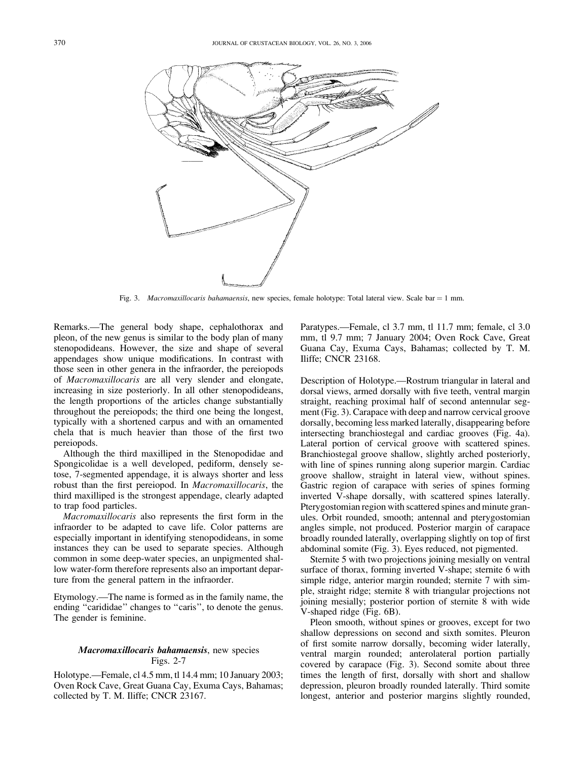

Fig. 3. Macromaxillocaris bahamaensis, new species, female holotype: Total lateral view. Scale bar = 1 mm.

Remarks.—The general body shape, cephalothorax and pleon, of the new genus is similar to the body plan of many stenopodideans. However, the size and shape of several appendages show unique modifications. In contrast with those seen in other genera in the infraorder, the pereiopods of Macromaxillocaris are all very slender and elongate, increasing in size posteriorly. In all other stenopodideans, the length proportions of the articles change substantially throughout the pereiopods; the third one being the longest, typically with a shortened carpus and with an ornamented chela that is much heavier than those of the first two pereiopods.

Although the third maxilliped in the Stenopodidae and Spongicolidae is a well developed, pediform, densely setose, 7-segmented appendage, it is always shorter and less robust than the first pereiopod. In Macromaxillocaris, the third maxilliped is the strongest appendage, clearly adapted to trap food particles.

Macromaxillocaris also represents the first form in the infraorder to be adapted to cave life. Color patterns are especially important in identifying stenopodideans, in some instances they can be used to separate species. Although common in some deep-water species, an unpigmented shallow water-form therefore represents also an important departure from the general pattern in the infraorder.

Etymology.—The name is formed as in the family name, the ending "carididae" changes to "caris", to denote the genus. The gender is feminine.

## Macromaxillocaris bahamaensis, new species Figs. 2-7

Holotype.—Female, cl 4.5 mm, tl 14.4 mm; 10 January 2003; Oven Rock Cave, Great Guana Cay, Exuma Cays, Bahamas; collected by T. M. Iliffe; CNCR 23167.

Paratypes.—Female, cl 3.7 mm, tl 11.7 mm; female, cl 3.0 mm, tl 9.7 mm; 7 January 2004; Oven Rock Cave, Great Guana Cay, Exuma Cays, Bahamas; collected by T. M. Iliffe; CNCR 23168.

Description of Holotype.—Rostrum triangular in lateral and dorsal views, armed dorsally with five teeth, ventral margin straight, reaching proximal half of second antennular segment (Fig. 3). Carapace with deep and narrow cervical groove dorsally, becoming less marked laterally, disappearing before intersecting branchiostegal and cardiac grooves (Fig. 4a). Lateral portion of cervical groove with scattered spines. Branchiostegal groove shallow, slightly arched posteriorly, with line of spines running along superior margin. Cardiac groove shallow, straight in lateral view, without spines. Gastric region of carapace with series of spines forming inverted V-shape dorsally, with scattered spines laterally. Pterygostomian region with scattered spines and minute granules. Orbit rounded, smooth; antennal and pterygostomian angles simple, not produced. Posterior margin of carapace broadly rounded laterally, overlapping slightly on top of first abdominal somite (Fig. 3). Eyes reduced, not pigmented.

Sternite 5 with two projections joining mesially on ventral surface of thorax, forming inverted V-shape; sternite 6 with simple ridge, anterior margin rounded; sternite 7 with simple, straight ridge; sternite 8 with triangular projections not joining mesially; posterior portion of sternite 8 with wide V-shaped ridge (Fig. 6B).

Pleon smooth, without spines or grooves, except for two shallow depressions on second and sixth somites. Pleuron of first somite narrow dorsally, becoming wider laterally, ventral margin rounded; anterolateral portion partially covered by carapace (Fig. 3). Second somite about three times the length of first, dorsally with short and shallow depression, pleuron broadly rounded laterally. Third somite longest, anterior and posterior margins slightly rounded,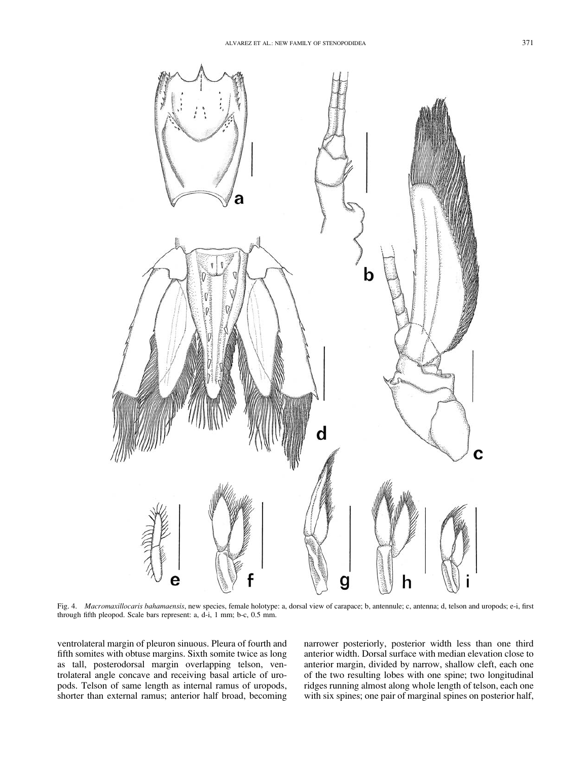

Fig. 4. Macromaxillocaris bahamaensis, new species, female holotype: a, dorsal view of carapace; b, antennule; c, antenna; d, telson and uropods; e-i, first through fifth pleopod. Scale bars represent: a, d-i, 1 mm; b-c, 0.5 mm.

ventrolateral margin of pleuron sinuous. Pleura of fourth and fifth somites with obtuse margins. Sixth somite twice as long as tall, posterodorsal margin overlapping telson, ventrolateral angle concave and receiving basal article of uropods. Telson of same length as internal ramus of uropods, shorter than external ramus; anterior half broad, becoming narrower posteriorly, posterior width less than one third anterior width. Dorsal surface with median elevation close to anterior margin, divided by narrow, shallow cleft, each one of the two resulting lobes with one spine; two longitudinal ridges running almost along whole length of telson, each one with six spines; one pair of marginal spines on posterior half,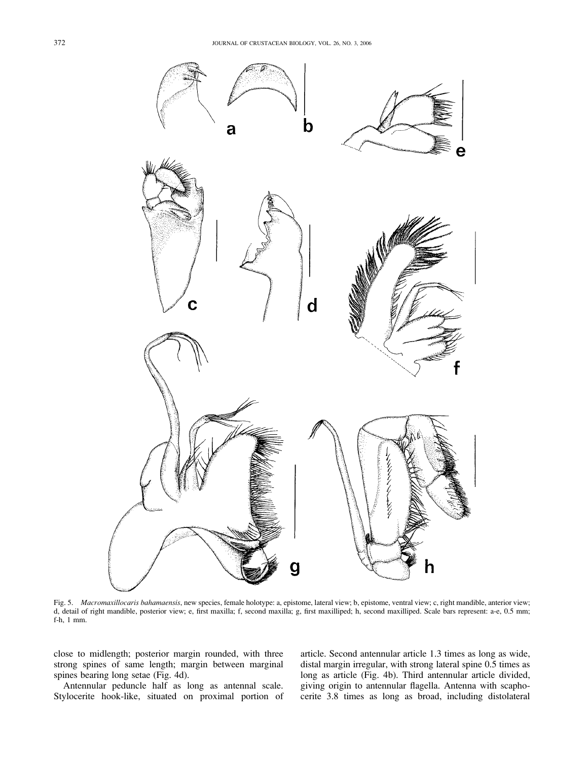

Fig. 5. Macromaxillocaris bahamaensis, new species, female holotype: a, epistome, lateral view; b, epistome, ventral view; c, right mandible, anterior view; d, detail of right mandible, posterior view; e, first maxilla; f, second maxilla; g, first maxilliped; h, second maxilliped. Scale bars represent: a-e, 0.5 mm; f-h, 1 mm.

close to midlength; posterior margin rounded, with three strong spines of same length; margin between marginal spines bearing long setae (Fig. 4d).

Antennular peduncle half as long as antennal scale. Stylocerite hook-like, situated on proximal portion of article. Second antennular article 1.3 times as long as wide, distal margin irregular, with strong lateral spine 0.5 times as long as article (Fig. 4b). Third antennular article divided, giving origin to antennular flagella. Antenna with scaphocerite 3.8 times as long as broad, including distolateral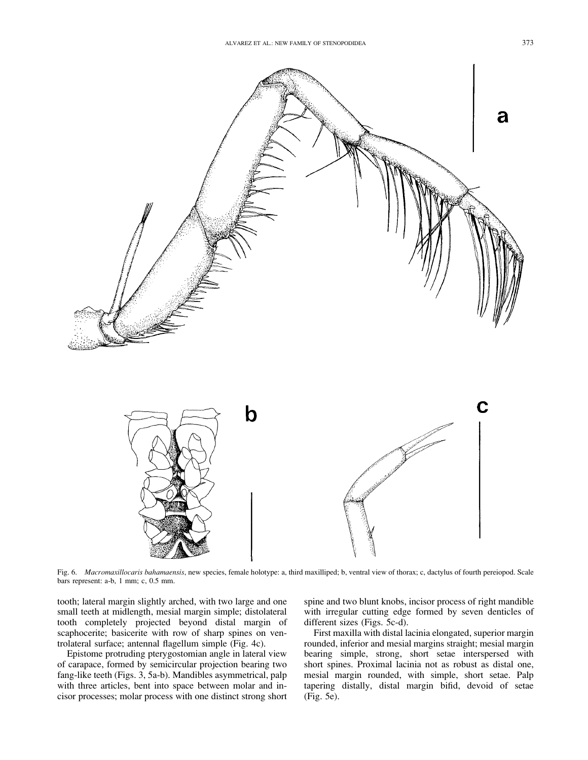

Fig. 6. Macromaxillocaris bahamaensis, new species, female holotype: a, third maxilliped; b, ventral view of thorax; c, dactylus of fourth pereiopod. Scale bars represent: a-b, 1 mm; c, 0.5 mm.

tooth; lateral margin slightly arched, with two large and one small teeth at midlength, mesial margin simple; distolateral tooth completely projected beyond distal margin of scaphocerite; basicerite with row of sharp spines on ventrolateral surface; antennal flagellum simple (Fig. 4c).

Epistome protruding pterygostomian angle in lateral view of carapace, formed by semicircular projection bearing two fang-like teeth (Figs. 3, 5a-b). Mandibles asymmetrical, palp with three articles, bent into space between molar and incisor processes; molar process with one distinct strong short spine and two blunt knobs, incisor process of right mandible with irregular cutting edge formed by seven denticles of different sizes (Figs. 5c-d).

First maxilla with distal lacinia elongated, superior margin rounded, inferior and mesial margins straight; mesial margin bearing simple, strong, short setae interspersed with short spines. Proximal lacinia not as robust as distal one, mesial margin rounded, with simple, short setae. Palp tapering distally, distal margin bifid, devoid of setae (Fig. 5e).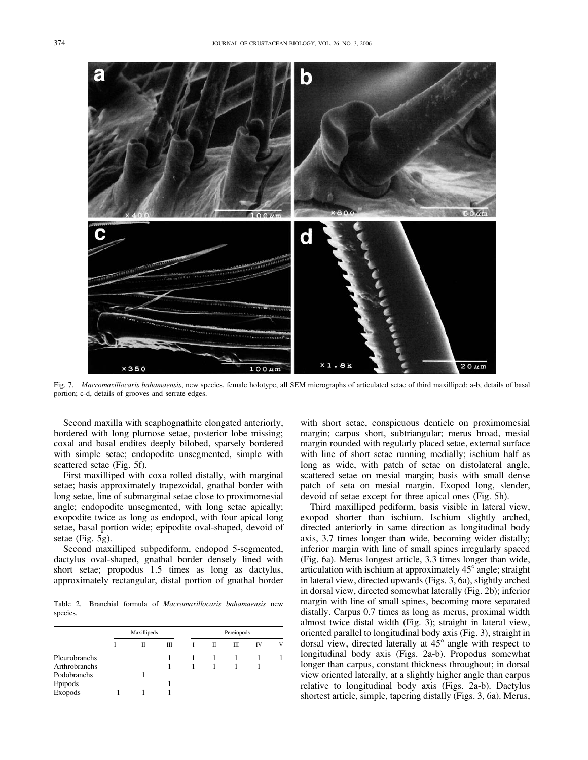

Fig. 7. Macromaxillocaris bahamaensis, new species, female holotype, all SEM micrographs of articulated setae of third maxilliped: a-b, details of basal portion; c-d, details of grooves and serrate edges.

Second maxilla with scaphognathite elongated anteriorly, bordered with long plumose setae, posterior lobe missing; coxal and basal endites deeply bilobed, sparsely bordered with simple setae; endopodite unsegmented, simple with scattered setae (Fig. 5f).

First maxilliped with coxa rolled distally, with marginal setae; basis approximately trapezoidal, gnathal border with long setae, line of submarginal setae close to proximomesial angle; endopodite unsegmented, with long setae apically; exopodite twice as long as endopod, with four apical long setae, basal portion wide; epipodite oval-shaped, devoid of setae (Fig. 5g).

Second maxilliped subpediform, endopod 5-segmented, dactylus oval-shaped, gnathal border densely lined with short setae; propodus 1.5 times as long as dactylus, approximately rectangular, distal portion of gnathal border

Table 2. Branchial formula of Macromaxillocaris bahamaensis new species.

|                      | Maxillipeds |   |   | Pereiopods |   |   |           |   |
|----------------------|-------------|---|---|------------|---|---|-----------|---|
|                      |             | π | Ш |            | П | Ш | <b>IV</b> | v |
| Pleurobranchs        |             |   |   |            |   |   |           |   |
| <b>Arthrobranchs</b> |             |   |   |            |   |   |           |   |
| Podobranchs          |             |   |   |            |   |   |           |   |
| Epipods              |             |   |   |            |   |   |           |   |
| Exopods              |             |   |   |            |   |   |           |   |

with short setae, conspicuous denticle on proximomesial margin; carpus short, subtriangular; merus broad, mesial margin rounded with regularly placed setae, external surface with line of short setae running medially; ischium half as long as wide, with patch of setae on distolateral angle, scattered setae on mesial margin; basis with small dense patch of seta on mesial margin. Exopod long, slender, devoid of setae except for three apical ones (Fig. 5h).

Third maxilliped pediform, basis visible in lateral view, exopod shorter than ischium. Ischium slightly arched, directed anteriorly in same direction as longitudinal body axis, 3.7 times longer than wide, becoming wider distally; inferior margin with line of small spines irregularly spaced (Fig. 6a). Merus longest article, 3.3 times longer than wide, articulation with ischium at approximately  $45^{\circ}$  angle; straight in lateral view, directed upwards (Figs. 3, 6a), slightly arched in dorsal view, directed somewhat laterally (Fig. 2b); inferior margin with line of small spines, becoming more separated distally. Carpus 0.7 times as long as merus, proximal width almost twice distal width (Fig. 3); straight in lateral view, oriented parallel to longitudinal body axis (Fig. 3), straight in dorsal view, directed laterally at  $45^{\circ}$  angle with respect to longitudinal body axis (Figs. 2a-b). Propodus somewhat longer than carpus, constant thickness throughout; in dorsal view oriented laterally, at a slightly higher angle than carpus relative to longitudinal body axis (Figs. 2a-b). Dactylus shortest article, simple, tapering distally (Figs. 3, 6a). Merus,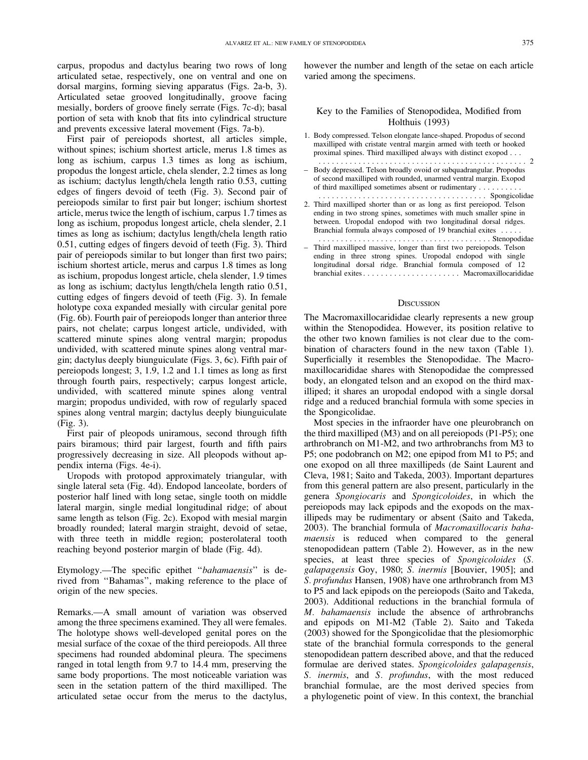carpus, propodus and dactylus bearing two rows of long articulated setae, respectively, one on ventral and one on dorsal margins, forming sieving apparatus (Figs. 2a-b, 3). Articulated setae grooved longitudinally, groove facing mesially, borders of groove finely serrate (Figs. 7c-d); basal portion of seta with knob that fits into cylindrical structure and prevents excessive lateral movement (Figs. 7a-b).

First pair of pereiopods shortest, all articles simple, without spines; ischium shortest article, merus 1.8 times as long as ischium, carpus 1.3 times as long as ischium, propodus the longest article, chela slender, 2.2 times as long as ischium; dactylus length/chela length ratio 0.53, cutting edges of fingers devoid of teeth (Fig. 3). Second pair of pereiopods similar to first pair but longer; ischium shortest article, merus twice the length of ischium, carpus 1.7 times as long as ischium, propodus longest article, chela slender, 2.1 times as long as ischium; dactylus length/chela length ratio 0.51, cutting edges of fingers devoid of teeth (Fig. 3). Third pair of pereiopods similar to but longer than first two pairs; ischium shortest article, merus and carpus 1.8 times as long as ischium, propodus longest article, chela slender, 1.9 times as long as ischium; dactylus length/chela length ratio 0.51, cutting edges of fingers devoid of teeth (Fig. 3). In female holotype coxa expanded mesially with circular genital pore (Fig. 6b). Fourth pair of pereiopods longer than anterior three pairs, not chelate; carpus longest article, undivided, with scattered minute spines along ventral margin; propodus undivided, with scattered minute spines along ventral margin; dactylus deeply biunguiculate (Figs. 3, 6c). Fifth pair of pereiopods longest; 3, 1.9, 1.2 and 1.1 times as long as first through fourth pairs, respectively; carpus longest article, undivided, with scattered minute spines along ventral margin; propodus undivided, with row of regularly spaced spines along ventral margin; dactylus deeply biunguiculate (Fig. 3).

First pair of pleopods uniramous, second through fifth pairs biramous; third pair largest, fourth and fifth pairs progressively decreasing in size. All pleopods without appendix interna (Figs. 4e-i).

Uropods with protopod approximately triangular, with single lateral seta (Fig. 4d). Endopod lanceolate, borders of posterior half lined with long setae, single tooth on middle lateral margin, single medial longitudinal ridge; of about same length as telson (Fig. 2c). Exopod with mesial margin broadly rounded; lateral margin straight, devoid of setae, with three teeth in middle region; posterolateral tooth reaching beyond posterior margin of blade (Fig. 4d).

Etymology.—The specific epithet "bahamaensis" is derived from ''Bahamas'', making reference to the place of origin of the new species.

Remarks.—A small amount of variation was observed among the three specimens examined. They all were females. The holotype shows well-developed genital pores on the mesial surface of the coxae of the third pereiopods. All three specimens had rounded abdominal pleura. The specimens ranged in total length from 9.7 to 14.4 mm, preserving the same body proportions. The most noticeable variation was seen in the setation pattern of the third maxilliped. The articulated setae occur from the merus to the dactylus,

however the number and length of the setae on each article varied among the specimens.

## Key to the Families of Stenopodidea, Modified from Holthuis (1993)

- 1. Body compressed. Telson elongate lance-shaped. Propodus of second maxilliped with cristate ventral margin armed with teeth or hooked proximal spines. Third maxilliped always with distinct exopod . . .
- ............................................... 2 – Body depressed. Telson broadly ovoid or subquadrangular. Propodus of second maxilliped with rounded, unarmed ventral margin. Exopod of third maxilliped sometimes absent or rudimentary . . ........
- ...................................... Spongicolidae 2. Third maxilliped shorter than or as long as first pereiopod. Telson ending in two strong spines, sometimes with much smaller spine in between. Uropodal endopod with two longitudinal dorsal ridges. Branchial formula always composed of 19 branchial exites . ....
- ....................................... Stenopodidae – Third maxilliped massive, longer than first two pereiopods. Telson ending in three strong spines. Uropodal endopod with single longitudinal dorsal ridge. Branchial formula composed of 12 branchial exites . ..................... Macromaxillocarididae

### **DISCUSSION**

The Macromaxillocarididae clearly represents a new group within the Stenopodidea. However, its position relative to the other two known families is not clear due to the combination of characters found in the new taxon (Table 1). Superficially it resembles the Stenopodidae. The Macromaxillocarididae shares with Stenopodidae the compressed body, an elongated telson and an exopod on the third maxilliped; it shares an uropodal endopod with a single dorsal ridge and a reduced branchial formula with some species in the Spongicolidae.

Most species in the infraorder have one pleurobranch on the third maxilliped (M3) and on all pereiopods (P1-P5); one arthrobranch on M1-M2, and two arthrobranchs from M3 to P5; one podobranch on M2; one epipod from M1 to P5; and one exopod on all three maxillipeds (de Saint Laurent and Cleva, 1981; Saito and Takeda, 2003). Important departures from this general pattern are also present, particularly in the genera Spongiocaris and Spongicoloides, in which the pereiopods may lack epipods and the exopods on the maxillipeds may be rudimentary or absent (Saito and Takeda, 2003). The branchial formula of Macromaxillocaris bahamaensis is reduced when compared to the general stenopodidean pattern (Table 2). However, as in the new species, at least three species of Spongicoloides (S. galapagensis Goy, 1980; S. inermis [Bouvier, 1905]; and S. profundus Hansen, 1908) have one arthrobranch from M3 to P5 and lack epipods on the pereiopods (Saito and Takeda, 2003). Additional reductions in the branchial formula of M. bahamaensis include the absence of arthrobranchs and epipods on M1-M2 (Table 2). Saito and Takeda (2003) showed for the Spongicolidae that the plesiomorphic state of the branchial formula corresponds to the general stenopodidean pattern described above, and that the reduced formulae are derived states. Spongicoloides galapagensis, S. inermis, and S. profundus, with the most reduced branchial formulae, are the most derived species from a phylogenetic point of view. In this context, the branchial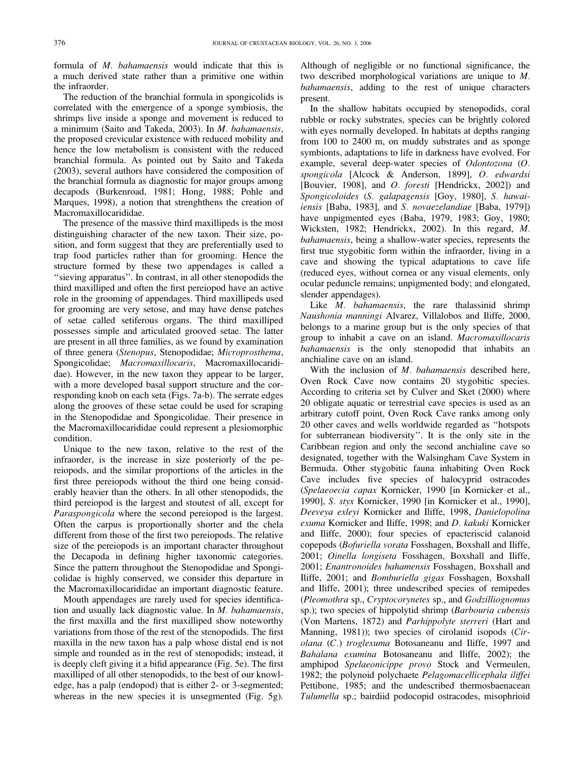formula of M. bahamaensis would indicate that this is a much derived state rather than a primitive one within the infraorder.

The reduction of the branchial formula in spongicolids is correlated with the emergence of a sponge symbiosis, the shrimps live inside a sponge and movement is reduced to a minimum (Saito and Takeda, 2003). In M. bahamaensis, the proposed crevicular existence with reduced mobility and hence the low metabolism is consistent with the reduced branchial formula. As pointed out by Saito and Takeda (2003), several authors have considered the composition of the branchial formula as diagnostic for major groups among decapods (Burkenroad, 1981; Hong, 1988; Pohle and Marques, 1998), a notion that strenghthens the creation of Macromaxillocarididae.

The presence of the massive third maxillipeds is the most distinguishing character of the new taxon. Their size, position, and form suggest that they are preferentially used to trap food particles rather than for grooming. Hence the structure formed by these two appendages is called a "sieving apparatus". In contrast, in all other stenopodids the third maxilliped and often the first pereiopod have an active role in the grooming of appendages. Third maxillipeds used for grooming are very setose, and may have dense patches of setae called setiferous organs. The third maxilliped possesses simple and articulated grooved setae. The latter are present in all three families, as we found by examination of three genera (Stenopus, Stenopodidae; Microprosthema, Spongicolidae; Macromaxillocaris, Macromaxillocarididae). However, in the new taxon they appear to be larger, with a more developed basal support structure and the corresponding knob on each seta (Figs. 7a-b). The serrate edges along the grooves of these setae could be used for scraping in the Stenopodidae and Spongicolidae. Their presence in the Macromaxillocarididae could represent a plesiomorphic condition.

Unique to the new taxon, relative to the rest of the infraorder, is the increase in size posteriorly of the pereiopods, and the similar proportions of the articles in the first three pereiopods without the third one being considerably heavier than the others. In all other stenopodids, the third pereiopod is the largest and stoutest of all, except for Paraspongicola where the second pereiopod is the largest. Often the carpus is proportionally shorter and the chela different from those of the first two pereiopods. The relative size of the pereiopods is an important character throughout the Decapoda in defining higher taxonomic categories. Since the pattern throughout the Stenopodidae and Spongicolidae is highly conserved, we consider this departure in the Macromaxillocarididae an important diagnostic feature.

Mouth appendages are rarely used for species identification and usually lack diagnostic value. In M. bahamaensis, the first maxilla and the first maxilliped show noteworthy variations from those of the rest of the stenopodids. The first maxilla in the new taxon has a palp whose distal end is not simple and rounded as in the rest of stenopodids; instead, it is deeply cleft giving it a bifid appearance (Fig. 5e). The first maxilliped of all other stenopodids, to the best of our knowledge, has a palp (endopod) that is either 2- or 3-segmented; whereas in the new species it is unsegmented (Fig. 5g).

Although of negligible or no functional significance, the two described morphological variations are unique to M. bahamaensis, adding to the rest of unique characters present.

In the shallow habitats occupied by stenopodids, coral rubble or rocky substrates, species can be brightly colored with eyes normally developed. In habitats at depths ranging from 100 to 2400 m, on muddy substrates and as sponge symbionts, adaptations to life in darkness have evolved. For example, several deep-water species of Odontozona (O. spongicola [Alcock & Anderson, 1899], O. edwardsi [Bouvier, 1908], and *O. foresti* [Hendrickx, 2002]) and Spongicoloides (S. galapagensis [Goy, 1980], S. hawaiiensis [Baba, 1983], and S. novaezelandiae [Baba, 1979]) have unpigmented eyes (Baba, 1979, 1983; Goy, 1980; Wicksten, 1982; Hendrickx, 2002). In this regard, M. bahamaensis, being a shallow-water species, represents the first true stygobitic form within the infraorder, living in a cave and showing the typical adaptations to cave life (reduced eyes, without cornea or any visual elements, only ocular peduncle remains; unpigmented body; and elongated, slender appendages).

Like *M. bahamaensis*, the rare thalassinid shrimp Naushonia manningi Alvarez, Villalobos and Iliffe, 2000, belongs to a marine group but is the only species of that group to inhabit a cave on an island. Macromaxillocaris bahamaensis is the only stenopodid that inhabits an anchialine cave on an island.

With the inclusion of M. bahamaensis described here, Oven Rock Cave now contains 20 stygobitic species. According to criteria set by Culver and Sket (2000) where 20 obligate aquatic or terrestrial cave species is used as an arbitrary cutoff point, Oven Rock Cave ranks among only 20 other caves and wells worldwide regarded as ''hotspots for subterranean biodiversity''. It is the only site in the Caribbean region and only the second anchialine cave so designated, together with the Walsingham Cave System in Bermuda. Other stygobitic fauna inhabiting Oven Rock Cave includes five species of halocyprid ostracodes (Spelaeoecia capax Kornicker, 1990 [in Kornicker et al., 1990], S. styx Kornicker, 1990 [in Kornicker et al., 1990], Deeveya exleyi Kornicker and Iliffe, 1998, Danielopolina exuma Kornicker and Iliffe, 1998; and D. kakuki Kornicker and Iliffe, 2000); four species of epacteriscid calanoid copepods (Bofuriella vorata Fosshagen, Boxshall and Iliffe, 2001; Oinella longiseta Fosshagen, Boxshall and Iliffe, 2001; Enantronoides bahamensis Fosshagen, Boxshall and Iliffe, 2001; and Bomburiella gigas Fosshagen, Boxshall and Iliffe, 2001); three undescribed species of remipedes (Pleomothra sp., Cryptocorynetes sp., and Godzilliognomus sp.); two species of hippolytid shrimp (Barbouria cubensis (Von Martens, 1872) and Parhippolyte sterreri (Hart and Manning, 1981)); two species of cirolanid isopods (Cirolana (C.) troglexuma Botosaneanu and Iliffe, 1997 and Bahalana exumina Botosaneanu and Iliffe, 2002); the amphipod Spelaeonicippe provo Stock and Vermeulen, 1982; the polynoid polychaete Pelagomacellicephala iliffei Pettibone, 1985; and the undescribed thermosbaenacean Tulumella sp.; bairdiid podocopid ostracodes, misophrioid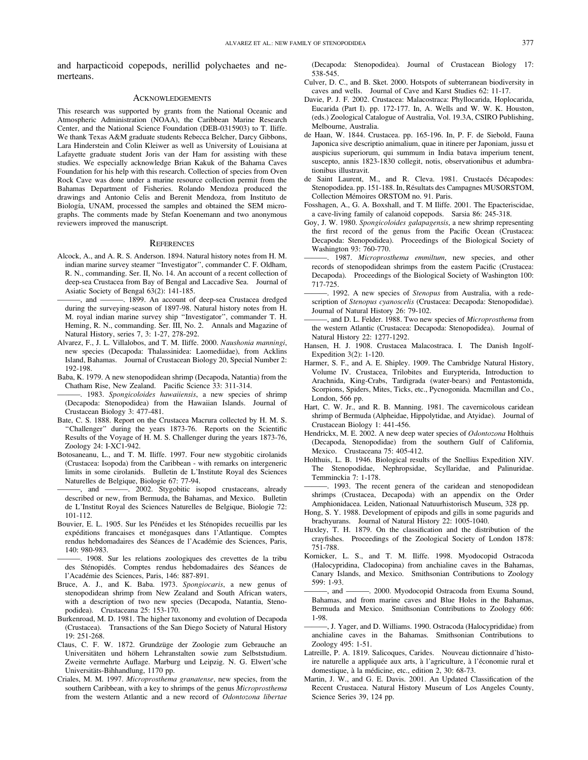and harpacticoid copepods, nerillid polychaetes and nemerteans.

### **ACKNOWLEDGEMENTS**

This research was supported by grants from the National Oceanic and Atmospheric Administration (NOAA), the Caribbean Marine Research Center, and the National Science Foundation (DEB-0315903) to T. Iliffe. We thank Texas A&M graduate students Rebecca Belcher, Darcy Gibbons, Lara Hinderstein and Colin Kleiwer as well as University of Louisiana at Lafayette graduate student Joris van der Ham for assisting with these studies. We especially acknowledge Brian Kakuk of the Bahama Caves Foundation for his help with this research. Collection of species from Oven Rock Cave was done under a marine resource collection permit from the Bahamas Department of Fisheries. Rolando Mendoza produced the drawings and Antonio Celis and Berenit Mendoza, from Instituto de Biología, UNAM, processed the samples and obtained the SEM micrographs. The comments made by Stefan Koenemann and two anonymous reviewers improved the manuscript.

#### **REFERENCES**

- Alcock, A., and A. R. S. Anderson. 1894. Natural history notes from H. M. indian marine survey steamer ''Investigator'', commander C. F. Oldham, R. N., commanding. Ser. II, No. 14. An account of a recent collection of deep-sea Crustacea from Bay of Bengal and Laccadive Sea. Journal of Asiatic Society of Bengal 63(2): 141-185.
- ———, and ———. 1899. An account of deep-sea Crustacea dredged during the surveying-season of 1897-98. Natural history notes from H. M. royal indian marine survey ship ''Investigator'', commander T. H. Heming, R. N., commanding. Ser. III, No. 2. Annals and Magazine of Natural History, series 7, 3: 1-27, 278-292.
- Alvarez, F., J. L. Villalobos, and T. M. Iliffe. 2000. Naushonia manningi, new species (Decapoda: Thalassinidea: Laomediidae), from Acklins Island, Bahamas. Journal of Crustacean Biology 20, Special Number 2: 192-198.
- Baba, K. 1979. A new stenopodidean shrimp (Decapoda, Natantia) from the Chatham Rise, New Zealand. Pacific Science 33: 311-314.
- -. 1983. Spongicoloides hawaiiensis, a new species of shrimp (Decapoda: Stenopodidea) from the Hawaiian Islands. Journal of Crustacean Biology 3: 477-481.
- Bate, C. S. 1888. Report on the Crustacea Macrura collected by H. M. S. ''Challenger'' during the years 1873-76. Reports on the Scientific Results of the Voyage of H. M. S. Challenger during the years 1873-76, Zoology 24: I-XC1-942.
- Botosaneanu, L., and T. M. Iliffe. 1997. Four new stygobitic cirolanids (Crustacea: Isopoda) from the Caribbean - with remarks on intergeneric limits in some cirolanids. Bulletin de L'Institute Royal des Sciences Naturelles de Belgique, Biologie 67: 77-94.
- ———, and ———. 2002. Stygobitic isopod crustaceans, already described or new, from Bermuda, the Bahamas, and Mexico. Bulletin de L'Institut Royal des Sciences Naturelles de Belgique, Biologie 72: 101-112.
- Bouvier, E. L. 1905. Sur les Pénéides et les Sténopides recueillis par les expéditions francaises et monégasques dans l'Atlantique. Comptes rendus hebdomadaires des Séances de l'Académie des Sciences, Paris, 140: 980-983.
- 1908. Sur les relations zoologiques des crevettes de la tribu des Sténopidés. Comptes rendus hebdomadaires des Séances de l'Académie des Sciences, Paris, 146: 887-891.
- Bruce, A. J., and K. Baba. 1973. Spongiocaris, a new genus of stenopodidean shrimp from New Zealand and South African waters, with a description of two new species (Decapoda, Natantia, Stenopodidea). Crustaceana 25: 153-170.
- Burkenroad, M. D. 1981. The higher taxonomy and evolution of Decapoda (Crustacea). Transactions of the San Diego Society of Natural History 19: 251-268.
- Claus, C. F. W. 1872. Grundzüge der Zoologie zum Gebrauche an Universitäten und höhern Lehranstalten sowie zum Selbststudium. Zweite vermehrte Auflage. Marburg und Leipzig. N. G. Elwert'sche Universitäts-Bihhandlung, 1170 pp.
- Criales, M. M. 1997. Microprosthema granatense, new species, from the southern Caribbean, with a key to shrimps of the genus Microprosthema from the western Atlantic and a new record of Odontozona libertae

(Decapoda: Stenopodidea). Journal of Crustacean Biology 17: 538-545.

- Culver, D. C., and B. Sket. 2000. Hotspots of subterranean biodiversity in caves and wells. Journal of Cave and Karst Studies 62: 11-17.
- Davie, P. J. F. 2002. Crustacea: Malacostraca: Phyllocarida, Hoplocarida, Eucarida (Part I). pp. 172-177. In, A. Wells and W. W. K. Houston, (eds.) Zoological Catalogue of Australia, Vol. 19.3A, CSIRO Publishing, Melbourne, Australia.
- de Haan, W. 1844. Crustacea. pp. 165-196. In, P. F. de Siebold, Fauna Japonica sive descriptio animalium, quae in itinere per Japoniam, jussu et auspicius superiorum, qui summum in India batava imperium tenent, suscepto, annis 1823-1830 collegit, notis, observationibus et adumbrationibus illustravit.
- de Saint Laurent, M., and R. Cleva. 1981. Crustacés Décapodes: Stenopodidea. pp. 151-188. In, Résultats des Campagnes MUSORSTOM, Collection Mémoires ORSTOM no. 91. Paris.
- Fosshagen, A., G. A. Boxshall, and T. M Iliffe. 2001. The Epacteriscidae, a cave-living family of calanoid copepods. Sarsia 86: 245-318.
- Goy, J. W. 1980. Spongicoloides galapagensis, a new shrimp representing the first record of the genus from the Pacific Ocean (Crustacea: Decapoda: Stenopodidea). Proceedings of the Biological Society of Washington 93: 760-770.
- 1987. Microprosthema emmiltum, new species, and other records of stenopodidean shrimps from the eastern Pacific (Crustacea: Decapoda). Proceedings of the Biological Society of Washington 100: 717-725.
- -. 1992. A new species of Stenopus from Australia, with a redescription of Stenopus cyanoscelis (Crustacea: Decapoda: Stenopodidae). Journal of Natural History 26: 79-102.
- -, and D. L. Felder. 1988. Two new species of *Microprosthema* from the western Atlantic (Crustacea: Decapoda: Stenopodidea). Journal of Natural History 22: 1277-1292.
- Hansen, H. J. 1908. Crustacea Malacostraca. I. The Danish Ingolf-Expedition 3(2): 1-120.
- Harmer, S. F., and A. E. Shipley. 1909. The Cambridge Natural History, Volume IV. Crustacea, Trilobites and Eurypterida, Introduction to Arachnida, King-Crabs, Tardigrada (water-bears) and Pentastomida, Scorpions, Spiders, Mites, Ticks, etc., Pycnogonida. Macmillan and Co., London, 566 pp.
- Hart, C. W. Jr., and R. B. Manning. 1981. The cavernicolous caridean shrimp of Bermuda (Alpheidae, Hippolytidae, and Atyidae). Journal of Crustacean Biology 1: 441-456.
- Hendrickx, M. E. 2002. A new deep water species of Odontozona Holthuis (Decapoda, Stenopodidae) from the southern Gulf of California, Mexico. Crustaceana 75: 405-412.
- Holthuis, L. B. 1946. Biological results of the Snellius Expedition XIV. The Stenopodidae, Nephropsidae, Scyllaridae, and Palinuridae. Temminckia 7: 1-178.
- -. 1993. The recent genera of the caridean and stenopodidean shrimps (Crustacea, Decapoda) with an appendix on the Order Amphionidacea. Leiden, Nationaal Natuurhistorisch Museum, 328 pp.
- Hong, S. Y. 1988. Development of epipods and gills in some pagurids and brachyurans. Journal of Natural History 22: 1005-1040.
- Huxley, T. H. 1879. On the classification and the distribution of the crayfishes. Proceedings of the Zoological Society of London 1878: 751-788.
- Kornicker, L. S., and T. M. Iliffe. 1998. Myodocopid Ostracoda (Halocypridina, Cladocopina) from anchialine caves in the Bahamas, Canary Islands, and Mexico. Smithsonian Contributions to Zoology 599: 1-93.
- -, and 2000. Myodocopid Ostracoda from Exuma Sound, Bahamas, and from marine caves and Blue Holes in the Bahamas, Bermuda and Mexico. Smithsonian Contributions to Zoology 606: 1-98.
- ———, J. Yager, and D. Williams. 1990. Ostracoda (Halocyprididae) from anchialine caves in the Bahamas. Smithsonian Contributions to Zoology 495: 1-51.
- Latreille, P. A. 1819. Salicoques, Carides. Nouveau dictionnaire d'histoire naturelle a appliquée aux arts, à l'agriculture, à l'économie rural et domestique, à la médicine, etc., edition 2, 30: 68-73.
- Martin, J. W., and G. E. Davis. 2001. An Updated Classification of the Recent Crustacea. Natural History Museum of Los Angeles County, Science Series 39, 124 pp.